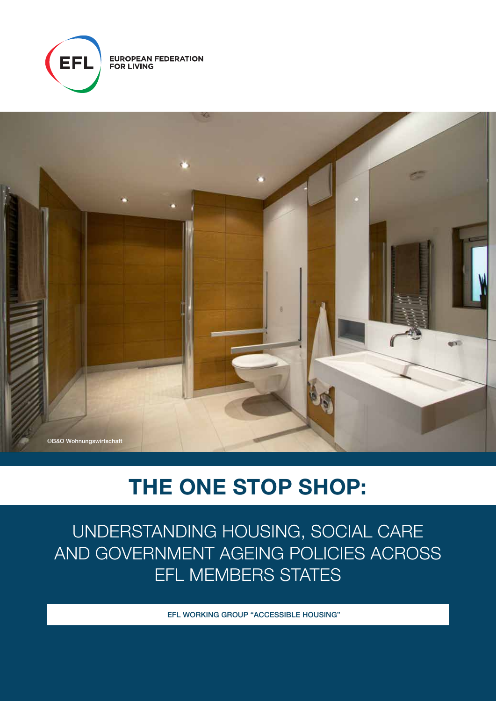

**EUROPEAN FEDERATION<br>FOR LIVING** 



# THE ONE STOP SHOP:

UNDERSTANDING HOUSING, SOCIAL CARE AND GOVERNMENT AGEING POLICIES ACROSS EFL MEMBERS STATES

EFL WORKING GROUP "ACCESSIBLE HOUSING"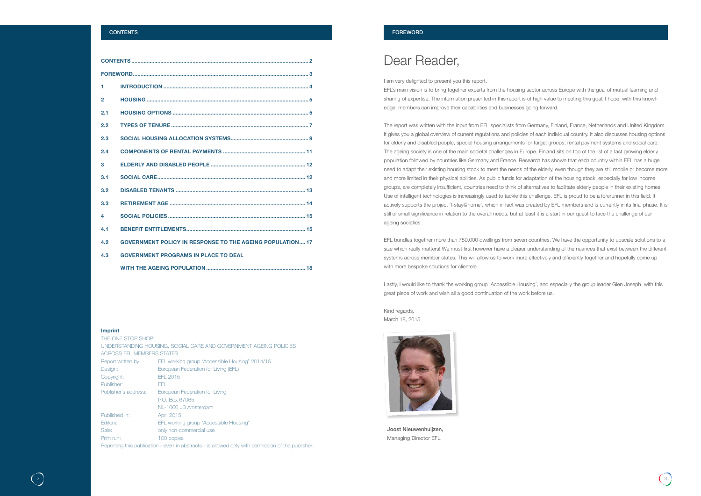### **CONTENTS**

| 1.             |                                                                  |  |
|----------------|------------------------------------------------------------------|--|
| $\overline{2}$ |                                                                  |  |
| 2.1            |                                                                  |  |
| 2.2            |                                                                  |  |
| 2.3            |                                                                  |  |
| 2.4            |                                                                  |  |
| 3              |                                                                  |  |
| 3.1            |                                                                  |  |
| 3.2            |                                                                  |  |
| 3.3            |                                                                  |  |
| Δ.             |                                                                  |  |
| 4.1            |                                                                  |  |
| 4.2            | <b>GOVERNMENT POLICY IN RESPONSE TO THE AGEING POPULATION 17</b> |  |
| 4.3            | <b>GOVERNMENT PROGRAMS IN PLACE TO DEAL</b>                      |  |
|                |                                                                  |  |

### Imprint

| THE ONE STOP SHOP:               |                                                                                                     |  |  |
|----------------------------------|-----------------------------------------------------------------------------------------------------|--|--|
|                                  | UNDERSTANDING HOUSING, SOCIAL CARE AND GOVERNMENT AGEING POLICIES                                   |  |  |
| <b>ACROSS EFL MEMBERS STATES</b> |                                                                                                     |  |  |
| Report written by:               | EFL working group "Accessible Housing" 2014/15                                                      |  |  |
| Design:                          | European Federation for Living (EFL)                                                                |  |  |
| Copyright:                       | EFL 2015                                                                                            |  |  |
| Publisher:                       | FFL.                                                                                                |  |  |
| Publisher's address:             | European Federation for Living                                                                      |  |  |
|                                  | P.O. Box 67065                                                                                      |  |  |
|                                  | NL-1060 JB Amsterdam                                                                                |  |  |
| Published in:                    | <b>April 2015</b>                                                                                   |  |  |
| Editorial:                       | EFL working group "Accessible Housing"                                                              |  |  |
| Sale:                            | only non-commercial use                                                                             |  |  |
| Print run:                       | 100 copies                                                                                          |  |  |
|                                  | Reprinting this publication - even in abstracts - is allowed only with permission of the publisher. |  |  |
|                                  |                                                                                                     |  |  |

EFL bundles together more than 750.000 dwellings from seven countries. We have the opportunity to upscale solutions to a size which really matters! We must first however have a clearer understanding of the nuances that exist between the different systems across member states. This will allow us to work more effectively and efficiently together and hopefully come up with more bespoke solutions for clientele.



### FOREWORD

## Dear Reader,

I am very delighted to present you this report. EFL's main vision is to bring together experts from the housing sector across Europe with the goal of mutual learning and sharing of expertise. The information presented in this report is of high value to meeting this goal. I hope, with this knowledge, members can improve their capabilities and businesses going forward.

The report was written with the input from EFL specialists from Germany, Finland, France, Netherlands and United Kingdom. It gives you a global overview of current regulations and policies of each individual country. It also discusses housing options for elderly and disabled people, special housing arrangements for target groups, rental payment systems and social care. The ageing society is one of the main societal challenges in Europe. Finland sits on top of the list of a fast growing elderly population followed by countries like Germany and France. Research has shown that each country within EFL has a huge need to adapt their existing housing stock to meet the needs of the elderly, even though they are still mobile or become more and more limited in their physical abilities. As public funds for adaptation of the housing stock, especially for low income groups, are completely insufficient, countries need to think of alternatives to facilitate elderly people in their existing homes. Use of intelligent technologies is increasingly used to tackle this challenge. EFL is proud to be a forerunner in this field. It actively supports the project 'I-stay@home', which in fact was created by EFL members and is currently in its final phase. It is still of small significance in relation to the overall needs, but at least it is a start in our quest to face the challenge of our ageing societies.

Lastly, I would like to thank the working group 'Accessible Housing', and especially the group leader Glen Joseph, with this great piece of work and wish all a good continuation of the work before us.

Kind regards, March 18, 2015



Joost Nieuwenhuijzen, Managing Director EFL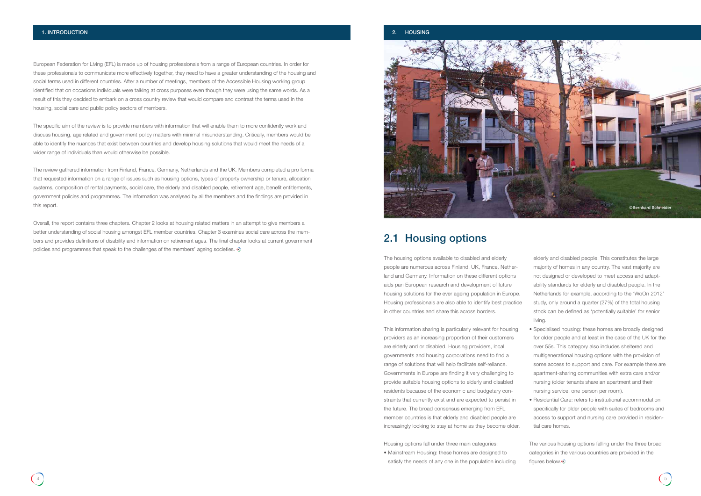European Federation for Living (EFL) is made up of housing professionals from a range of European countries. In order for these professionals to communicate more effectively together, they need to have a greater understanding of the housing and social terms used in different countries. After a number of meetings, members of the Accessible Housing working group identified that on occasions individuals were talking at cross purposes even though they were using the same words. As a result of this they decided to embark on a cross country review that would compare and contrast the terms used in the housing, social care and public policy sectors of members.

Overall, the report contains three chapters. Chapter 2 looks at housing related matters in an attempt to give members a better understanding of social housing amongst EFL member countries. Chapter 3 examines social care across the members and provides definitions of disability and information on retirement ages. The final chapter looks at current government policies and programmes that speak to the challenges of the members' ageing societies.  $\odot$ 

The specific aim of the review is to provide members with information that will enable them to more confidently work and discuss housing, age related and government policy matters with minimal misunderstanding. Critically, members would be able to identify the nuances that exist between countries and develop housing solutions that would meet the needs of a wider range of individuals than would otherwise be possible.

The review gathered information from Finland, France, Germany, Netherlands and the UK. Members completed a pro forma that requested information on a range of issues such as housing options, types of property ownership or tenure, allocation systems, composition of rental payments, social care, the elderly and disabled people, retirement age, benefit entitlements, government policies and programmes. The information was analysed by all the members and the findings are provided in this report.

> The various housing options falling under the three broad categories in the various countries are provided in the figures below.

The housing options available to disabled and elderly people are numerous across Finland, UK, France, Netherland and Germany. Information on these different options aids pan European research and development of future housing solutions for the ever ageing population in Europe. Housing professionals are also able to identify best practice in other countries and share this across borders.

This information sharing is particularly relevant for housing providers as an increasing proportion of their customers are elderly and or disabled. Housing providers, local governments and housing corporations need to find a range of solutions that will help facilitate self-reliance. Governments in Europe are finding it very challenging to provide suitable housing options to elderly and disabled residents because of the economic and budgetary constraints that currently exist and are expected to persist in the future. The broad consensus emerging from EFL member countries is that elderly and disabled people are increasingly looking to stay at home as they become older.

Housing options fall under three main categories: • Mainstream Housing: these homes are designed to



satisfy the needs of any one in the population including

elderly and disabled people. This constitutes the large majority of homes in any country. The vast majority are not designed or developed to meet access and adaptability standards for elderly and disabled people. In the Netherlands for example, according to the 'WoOn 2012' study, only around a quarter (27%) of the total housing stock can be defined as 'potentially suitable' for senior living.

- Specialised housing: these homes are broadly designed for older people and at least in the case of the UK for the over 55s. This category also includes sheltered and multigenerational housing options with the provision of some access to support and care. For example there are apartment-sharing communities with extra care and/or nursing (older tenants share an apartment and their nursing service, one person per room).
- Residential Care: refers to institutional accommodation specifically for older people with suites of bedrooms and access to support and nursing care provided in residential care homes.

## 2.1 Housing options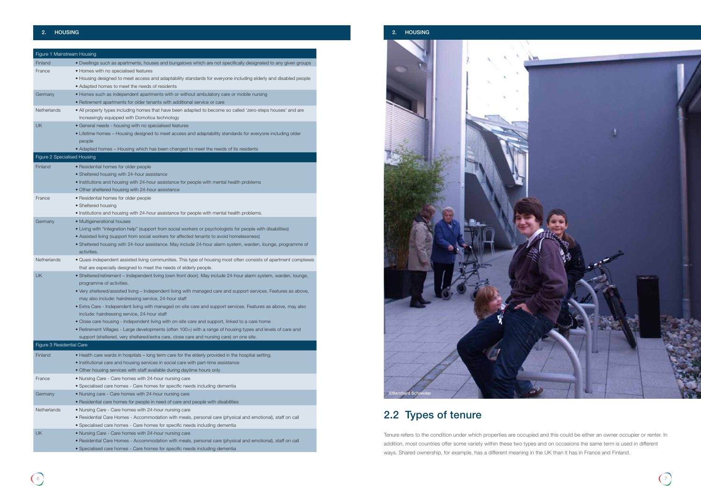

| Figure 1 Mainstream Housing  |                                                                                                                                                                                                           |
|------------------------------|-----------------------------------------------------------------------------------------------------------------------------------------------------------------------------------------------------------|
| Finland                      | • Dwellings such as apartments, houses and bungalows which are not specifically designated to any given groups                                                                                            |
| France                       | • Homes with no specialised features                                                                                                                                                                      |
|                              | • Housing designed to meet access and adaptability standards for everyone including elderly and disabled people                                                                                           |
|                              | • Adapted homes to meet the needs of residents                                                                                                                                                            |
| Germany                      | • Homes such as independent apartments with or without ambulatory care or mobile nursing                                                                                                                  |
|                              | • Retirement apartments for older tenants with additional service or care                                                                                                                                 |
| Netherlands                  | . All property types including homes that have been adapted to become so called 'zero-steps houses' and are                                                                                               |
|                              | increasingly equipped with Domotica technology                                                                                                                                                            |
| UK                           | • General needs - housing with no specialised features                                                                                                                                                    |
|                              | • Lifetime homes - Housing designed to meet access and adaptability standards for everyone including older                                                                                                |
|                              | people                                                                                                                                                                                                    |
|                              | • Adapted homes - Housing which has been changed to meet the needs of its residents                                                                                                                       |
| Figure 2 Specialised Housing |                                                                                                                                                                                                           |
| Finland                      | • Residential homes for older people                                                                                                                                                                      |
|                              | • Sheltered housing with 24-hour assistance                                                                                                                                                               |
|                              | • Institutions and housing with 24-hour assistance for people with mental health problems                                                                                                                 |
|                              | • Other sheltered housing with 24-hour assistance                                                                                                                                                         |
| France                       | • Residential homes for older people                                                                                                                                                                      |
|                              | • Sheltered housing                                                                                                                                                                                       |
|                              | • Institutions and housing with 24-hour assistance for people with mental health problems.                                                                                                                |
| Germany                      | • Multigenerational houses                                                                                                                                                                                |
|                              | • Living with "integration help" (support from social workers or psychologists for people with disabilities)                                                                                              |
|                              | • Assisted living (support from social workers for affected tenants to avoid homelessness)<br>• Sheltered housing with 24-hour assistance. May include 24-hour alarm system, warden, lounge, programme of |
|                              | activities.                                                                                                                                                                                               |
| Netherlands                  | • Quasi-independent assisted living communities. This type of housing most often consists of apartment complexes                                                                                          |
|                              | that are especially designed to meet the needs of elderly people.                                                                                                                                         |
| <b>UK</b>                    | . Sheltered/retirement - Independent living (own front door). May include 24-hour alarm system, warden, lounge,                                                                                           |
|                              | programme of activities.                                                                                                                                                                                  |
|                              | . Very sheltered/assisted living - Independent living with managed care and support services. Features as above,                                                                                          |
|                              | may also include: hairdressing service, 24-hour staff                                                                                                                                                     |
|                              | · Extra Care - Independent living with managed on-site care and support services. Features as above, may also                                                                                             |
|                              | include: hairdressing service, 24-hour staff                                                                                                                                                              |
|                              | • Close care housing - Independent living with on-site care and support, linked to a care home                                                                                                            |
|                              | • Retirement Villages - Large developments (often 100+) with a range of housing types and levels of care and                                                                                              |
|                              | support (sheltered, very sheltered/extra care, close care and nursing care) on one site.                                                                                                                  |
| Figure 3 Residential Care    |                                                                                                                                                                                                           |
| Finland                      | . Health care wards in hospitals - long term care for the elderly provided in the hospital setting.                                                                                                       |
|                              | • Institutional care and housing services in social care with part-time assistance                                                                                                                        |
|                              | . Other housing services with staff available during daytime hours only                                                                                                                                   |
| France                       | . Nursing Care - Care homes with 24-hour nursing care                                                                                                                                                     |
|                              | • Specialised care homes - Care homes for specific needs including dementia                                                                                                                               |
| Germany                      | . Nursing care - Care homes with 24-hour nursing care                                                                                                                                                     |
|                              | • Residential care homes for people in need of care and people with disabilities                                                                                                                          |
| Netherlands                  | . Nursing Care - Care homes with 24-hour nursing care                                                                                                                                                     |
|                              | • Residential Care Homes - Accommodation with meals, personal care (physical and emotional), staff on call                                                                                                |
|                              | · Specialised care homes - Care homes for specific needs including dementia                                                                                                                               |
| <b>UK</b>                    | . Nursing Care - Care homes with 24-hour nursing care                                                                                                                                                     |
|                              | • Residential Care Homes - Accommodation with meals, personal care (physical and emotional), staff on call                                                                                                |

• Specialised care homes - Care homes for specific needs including dementia

## 2.2 Types of tenure

Tenure refers to the condition under which properties are occupied and this could be either an owner occupier or renter. In addition, most countries offer some variety within these two types and on occasions the same term is used in different ways. Shared ownership, for example, has a different meaning in the UK than it has in France and Finland.

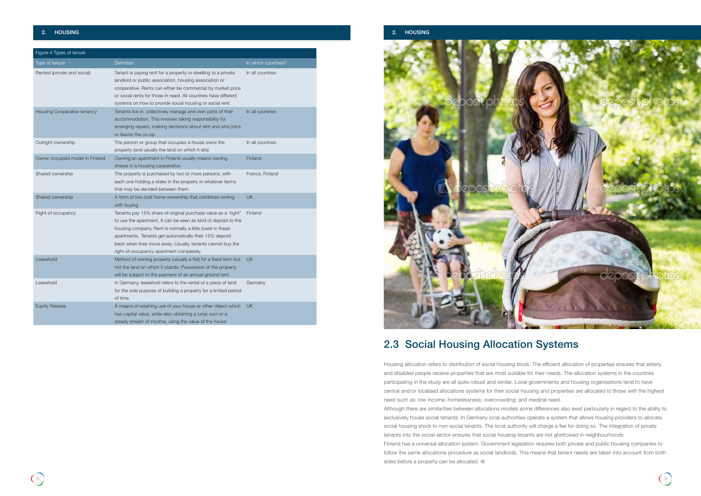

| Figure 4 Types of tenure        |                                                                                                                                                                                                                                                                                                                                                                  |                     |  |  |
|---------------------------------|------------------------------------------------------------------------------------------------------------------------------------------------------------------------------------------------------------------------------------------------------------------------------------------------------------------------------------------------------------------|---------------------|--|--|
| Type of tenure                  | <b>Definition</b>                                                                                                                                                                                                                                                                                                                                                | In which countries? |  |  |
| Rented (private and social)     | Tenant is paying rent for a property or dwelling to a private<br>landlord or public association, housing association or<br>cooperative. Rents can either be commercial by market price<br>or social rents for those in need. All countries have different<br>systems on how to provide social housing or social rent.                                            | In all countries    |  |  |
| Housing Cooperative tenancy     | Tenants live in, collectively manage and own parts of their<br>accommodation. This involves taking responsibility for<br>arranging repairs, making decisions about rent and who joins<br>or leaves the co-op.                                                                                                                                                    | In all countries    |  |  |
| Outright ownership              | The person or group that occupies a house owns the<br>property (and usually the land on which it sits)                                                                                                                                                                                                                                                           | In all countries    |  |  |
| Owner occupied model in Finland | Owning an apartment in Finland usually means owning<br>shares in a housing cooperative.                                                                                                                                                                                                                                                                          | Finland             |  |  |
| Shared ownership                | The property is purchased by two or more persons, with<br>each one holding a stake in the property in whatever terms<br>that may be decided between them.                                                                                                                                                                                                        | France, Finland     |  |  |
| Shared ownership                | A form of low cost home ownership that combines renting<br>with buying                                                                                                                                                                                                                                                                                           | <b>UK</b>           |  |  |
| Right of occupancy              | Tenants pay 15% share of original purchase value as a "right"<br>to use the apartment. It can be seen as kind of deposit to the<br>housing company. Rent is normally a little lower in these<br>apartments. Tenants get automatically their 15% deposit<br>back when they move away. Usually, tenants cannot buy the<br>right-of-occupancy apartment completely. | Finland             |  |  |
| Leasehold                       | Method of owning property (usually a flat) for a fixed term but<br>not the land on which it stands. Possession of the property<br>will be subject to the payment of an annual ground rent.                                                                                                                                                                       | <b>UK</b>           |  |  |
| Leasehold                       | In Germany, leasehold refers to the rental of a piece of land<br>for the sole purpose of building a property for a limited period<br>of time.                                                                                                                                                                                                                    | Germany             |  |  |
| <b>Equity Release</b>           | A means of retaining use of your house or other object which<br>has capital value, while also obtaining a lump sum or a<br>steady stream of income, using the value of the house                                                                                                                                                                                 | <b>UK</b>           |  |  |

Housing allocation refers to distribution of social housing stock. The efficient allocation of properties ensures that elderly and disabled people receive properties that are most suitable for their needs. The allocation systems in the countries participating in the study are all quite robust and similar. Local governments and housing organisations tend to have central and/or localised allocations systems for their social housing and properties are allocated to those with the highest need such as: low income; homelessness; overcrowding; and medical need. Although there are similarities between allocations models some differences also exist particularly in regard to the ability to exclusively house social tenants. In Germany local authorities operate a system that allows housing providers to allocate social housing stock to non-social tenants. The local authority will charge a fee for doing so. The integration of private tenants into the social sector ensures that social housing tenants are not ghettoised in neighbourhoods. Finland has a universal allocation system. Government legislation requires both private and public housing companies to follow the same allocations procedure as social landlords. This means that tenant needs are taken into account from both sides before a property can be allocated.  $\circledS$ 

## 2.3 Social Housing Allocation Systems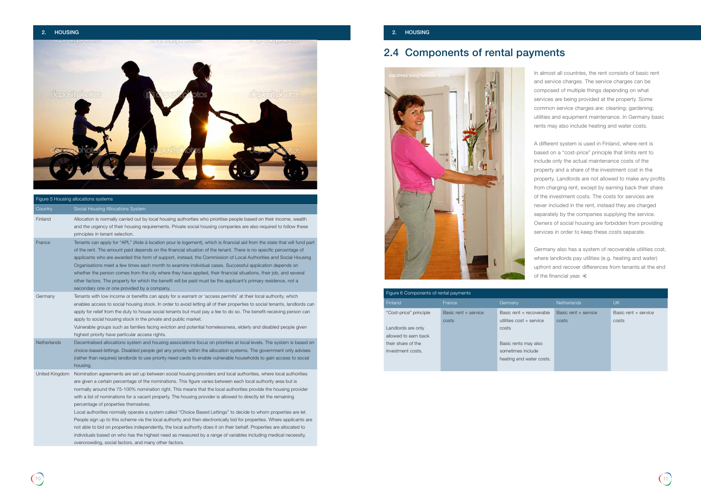### 2. HOUSING 2. HOUSING

## 2.4 Components of rental payments

In almost all countries, the rent consists of basic rent and service charges. The service charges can be composed of multiple things depending on what services are being provided at the property. Some common service charges are: cleaning; gardening; utilities and equipment maintenance. In Germany basic rents may also include heating and water costs.

Germany also has a system of recoverable utilities cost, where landlords pay utilities (e.g. heating and water) upfront and recover differences from tenants at the end of the financial year.  $\circledast$ 

A different system is used in Finland, where rent is based on a "cost-price" principle that limits rent to include only the actual maintenance costs of the property and a share of the investment cost in the property. Landlords are not allowed to make any profits from charging rent, except by earning back their share of the investment costs. The costs for services are never included in the rent, instead they are charged separately by the companies supplying the service. Owners of social housing are forbidden from providing services in order to keep these costs separate.



| Figure 5 Housing allocations systems |                                                                                                                                                                                                                                                                                                                                                                                                                                                                                                                                                                                                                                                                                                                                                                                                                                                                                                                                                                                                                                                                     |  |  |  |
|--------------------------------------|---------------------------------------------------------------------------------------------------------------------------------------------------------------------------------------------------------------------------------------------------------------------------------------------------------------------------------------------------------------------------------------------------------------------------------------------------------------------------------------------------------------------------------------------------------------------------------------------------------------------------------------------------------------------------------------------------------------------------------------------------------------------------------------------------------------------------------------------------------------------------------------------------------------------------------------------------------------------------------------------------------------------------------------------------------------------|--|--|--|
| Country                              | Social Housing Allocations System                                                                                                                                                                                                                                                                                                                                                                                                                                                                                                                                                                                                                                                                                                                                                                                                                                                                                                                                                                                                                                   |  |  |  |
| Finland                              | Allocation is normally carried out by local housing authorities who prioritise people based on their income, wealth<br>and the urgency of their housing requirements. Private social housing companies are also required to follow these<br>principles in tenant selection.                                                                                                                                                                                                                                                                                                                                                                                                                                                                                                                                                                                                                                                                                                                                                                                         |  |  |  |
| France                               | Tenants can apply for "APL" (Aide à location pour le logement), which is financial aid from the state that will fund part<br>of the rent. The amount paid depends on the financial situation of the tenant. There is no specific percentage of<br>applicants who are awarded this form of support, instead, the Commission of Local Authorities and Social Housing<br>Organisations meet a few times each month to examine individual cases. Successful application depends on<br>whether the person comes from the city where they have applied, their financial situations, their job, and several<br>other factors. The property for which the benefit will be paid must be the applicant's primary residence, not a<br>secondary one or one provided by a company.                                                                                                                                                                                                                                                                                              |  |  |  |
| Germany                              | Tenants with low income or benefits can apply for a warrant or 'access permits' at their local authority, which<br>enables access to social housing stock. In order to avoid letting all of their properties to social tenants, landlords can<br>apply for relief from the duty to house social tenants but must pay a fee to do so. The benefit-receiving person can<br>apply to social housing stock in the private and public market.<br>Vulnerable groups such as families facing eviction and potential homelessness, elderly and disabled people given<br>highest priority have particular access rights.                                                                                                                                                                                                                                                                                                                                                                                                                                                     |  |  |  |
| Netherlands                          | Decentralised allocations system and housing associations focus on priorities at local levels. The system is based on<br>choice-based-lettings. Disabled people get any priority within the allocation systems. The government only advises<br>(rather than requires) landlords to use priority need cards to enable vulnerable households to gain access to social<br>housing.                                                                                                                                                                                                                                                                                                                                                                                                                                                                                                                                                                                                                                                                                     |  |  |  |
| United Kingdom                       | Nomination agreements are set up between social housing providers and local authorities, where local authorities<br>are given a certain percentage of the nominations. This figure varies between each local authority area but is<br>normally around the 75-100% nomination right. This means that the local authorities provide the housing provider<br>with a list of nominations for a vacant property. The housing provider is allowed to directly let the remaining<br>percentage of properties themselves.<br>Local authorities normally operate a system called "Choice Based Lettings" to decide to whom properties are let.<br>People sign up to this scheme via the local authority and then electronically bid for properties. Where applicants are<br>not able to bid on properties independently, the local authority does it on their behalf. Properties are allocated to<br>individuals based on who has the highest need as measured by a range of variables including medical necessity,<br>overcrowding, social factors, and many other factors. |  |  |  |

### Figure 6 Components of rental payments

| Figure 6 Components of rental payments |                      |                          |                      |                      |
|----------------------------------------|----------------------|--------------------------|----------------------|----------------------|
| Finland                                | France               | Germany                  | <b>Netherlands</b>   | <b>UK</b>            |
| "Cost-price" principle                 | Basic rent + service | Basic rent + recoverable | Basic rent + service | Basic rent + service |
|                                        | costs                | utilities cost + service | costs                | costs                |
| Landlords are only                     |                      | costs                    |                      |                      |
| allowed to earn back                   |                      |                          |                      |                      |
| their share of the                     |                      | Basic rents may also     |                      |                      |
| investment costs.                      |                      | sometimes include        |                      |                      |
|                                        |                      | heating and water costs. |                      |                      |
|                                        |                      |                          |                      |                      |

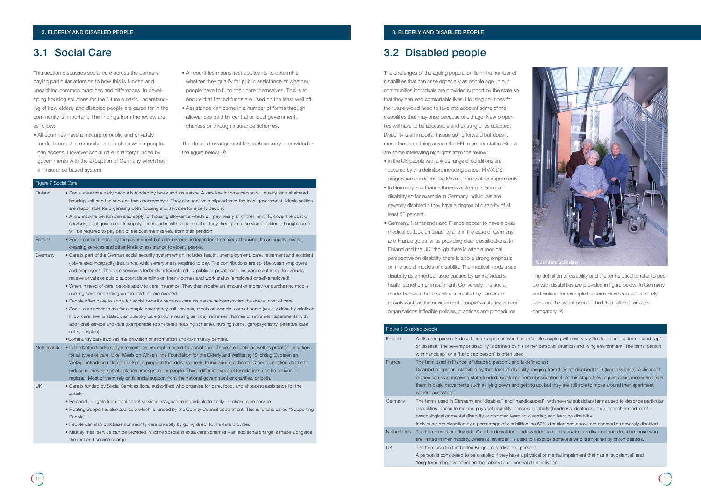### 3.1 Social Care 3.2 Disabled people

This section discusses social care across the partners paying particular attention to how this is funded and unearthing common practices and differences. In developing housing solutions for the future a basic understanding of how elderly and disabled people are cared for in the community is important. The findings from the review are as follow:

> The detailed arrangement for each country is provided in the figure below.  $\odot$

- All countries have a mixture of public and privately funded social / community care in place which people can access. However social care is largely funded by governments with the exception of Germany which has an insurance based system.
- All countries means-test applicants to determine whether they qualify for public assistance or whether people have to fund their care themselves. This is to ensure that limited funds are used on the least well off.
- Assistance can come in a number of forms through allowances paid by central or local government, charities or through insurance schemes.

The definition of disability and the terms used to refer to people with disabilities are provided in figure below. In Germany and Finland for example the term Handicapped is widely used but this is not used in the UK at all as it view as derogatory.

difficulties coping with everyday life due to a long term "handicap" or her personal situation and living environment. The term "personal

### efined as:

people are classified by their indiations of disabled areas, ranging from 1 (most disabled). A disabled m classification 4. At this stage they require assistance which aids ting up, but they are still able to move around their apartment

capped", with several subsidiary terms used to describe particular ry disability (blindness, deafness, etc.); speech impediment; disorder; and learning disability.

, so 50% disabled and above are deemed as severely disabled. ervaliden can be translated as disabled and describe those who to describe someone who is impaired by chronic illness.

hysical or mental impairment that has a 'substantial' and I daily activities.

The challenges of the ageing population lie in the number of disabilities that can arise especially as people age. In our communities individuals are provided support by the state so that they can lead comfortable lives. Housing solutions for the future would need to take into account some of the disabilities that may arise because of old age. New properties will have to be accessible and existing ones adapted. Disability is an important issue going forward but does it mean the same thing across the EFL member states. Below are some interesting highlights from the review:

- In the UK people with a wide range of conditions are covered by this definition, including cancer, HIV/AIDS, progressive conditions like MS and many other impairments.
- In Germany and France there is a clear gradation of disability so for example in Germany individuals are severely disabled if they have a degree of disability of at least 50 percent.
- Germany, Netherlands and France appear to have a clear medical outlook on disability and in the case of Germany and France go as far as providing clear classifications. In Finland and the UK, though there is often a medical perspective on disability, there is also a strong emphasis on the social models of disability. The medical models see disability as a medical issue caused by an individual's health condition or impairment. Conversely, the social model believes that disability is created by barriers in society such as the environment, people's attitudes and/or organisations inflexible policies, practices and procedures

### Figure 7 Social Care

| Finland            | • Social care for elderly people is funded by taxes and insurance. A very low income person will qualify for a sheltered<br>housing unit and the services that accompany it. They also receive a stipend from the local government. Municipalities<br>are responsible for organising both housing and services for elderly people.<br>• A low income person can also apply for housing allowance which will pay nearly all of their rent. To cover the cost of<br>services, local governments supply beneficiaries with vouchers that they then give to service providers, though some<br>will be required to pay part of the cost themselves, from their pension.                                                                                                                                                                                                                                                                                                                                                                                                                                                                                                                                                                                                   |
|--------------------|----------------------------------------------------------------------------------------------------------------------------------------------------------------------------------------------------------------------------------------------------------------------------------------------------------------------------------------------------------------------------------------------------------------------------------------------------------------------------------------------------------------------------------------------------------------------------------------------------------------------------------------------------------------------------------------------------------------------------------------------------------------------------------------------------------------------------------------------------------------------------------------------------------------------------------------------------------------------------------------------------------------------------------------------------------------------------------------------------------------------------------------------------------------------------------------------------------------------------------------------------------------------|
| France             | . Social care is funded by the government but administered independent from social housing. It can supply meals,<br>cleaning services and other kinds of assistance to elderly people.                                                                                                                                                                                                                                                                                                                                                                                                                                                                                                                                                                                                                                                                                                                                                                                                                                                                                                                                                                                                                                                                               |
| Germany            | • Care is part of the German social security system which includes health, unemployment, care, retirement and accident<br>(job-related incapacity) insurance, which everyone is required to pay. The contributions are split between employers<br>and employees. The care service is federally administered by public or private care insurance authority. Individuals<br>receive private or public support depending on their incomes and work status (employed or self-employed).<br>. When in need of care, people apply to care insurance. They then receive an amount of money for purchasing mobile<br>nursing care, depending on the level of care needed.<br>. People often have to apply for social benefits because care insurance seldom covers the overall cost of care.<br>• Social care services are for example emergency call services, meals on wheels, care at home (usually done by relatives<br>if low care level is stated), ambulatory care (mobile nursing service), retirement homes or retirement apartments with<br>additional service and care (comparable to sheltered housing scheme), nursing home, geropsychiatry, palliative care<br>units, hospice)<br>•Community care involves the provision of information and community centres. |
| <b>Netherlands</b> | • In the Netherlands many interventions are implemented for social care. There are public as well as private foundations<br>for all types of care. Like 'Meals on Wheels' the Foundation for the Elderly and Wellbeing 'Stichting Ouderen en<br>Welzijn' introduced 'Tafeltje Dekje', a program that delivers meals to individuals at home. Other foundations battle to<br>reduce or prevent social isolation amongst older people. These different types of foundations can be national or<br>regional. Most of them rely on financial support from the national government or charities, or both.                                                                                                                                                                                                                                                                                                                                                                                                                                                                                                                                                                                                                                                                  |
| UK                 | • Care is funded by Social Services (local authorities) who organise for care, food, and shopping assistance for the<br>elderly.<br>• Personal budgets from local social services assigned to individuals to freely purchase care service<br>• Floating Support is also available which is funded by the County Council department. This is fund is called "Supporting<br>People".<br>. People can also purchase community care privately by going direct to the care provider.<br>• Midday meal service can be provided in some specialist extra care schemes – an additional charge is made alongside<br>the rent and service charge.                                                                                                                                                                                                                                                                                                                                                                                                                                                                                                                                                                                                                              |

| Figure 8 Disabled people |                                                                                                                                                                                                                                                                 |
|--------------------------|-----------------------------------------------------------------------------------------------------------------------------------------------------------------------------------------------------------------------------------------------------------------|
| Finland                  | A disabled person is described as a person who has difficult<br>or disease. The severity of disability is defined by his or her                                                                                                                                 |
|                          | with handicap" or a "handicap person" is often used.                                                                                                                                                                                                            |
| France                   | The term used in France is "disabled person", and is define<br>Disabled people are classified by their level of disability, ran<br>person can start receiving state-funded assistance from cla                                                                  |
|                          | them in basic movements such as lying down and getting a<br>without assistance.                                                                                                                                                                                 |
| Germany                  | The terms used in Germany are "disabled" and "handicapp"<br>disabilities. These terms are: physical disability; sensory dis<br>psychological or mental disability or disorder; learning disor<br>Individuals are classified by a percentage of disabilities, so |
| <b>Netherlands</b>       | The terms used are "invaliden" and 'indervaliden'. Indervalion<br>are limited in their mobility, whereas 'invaliden' is used to de                                                                                                                              |
| <b>UK</b>                | The term used in the United Kingdom is "disabled person".<br>A person is considered to be disabled if they have a physic<br>'long-term' negative effect on their ability to do normal dail                                                                      |

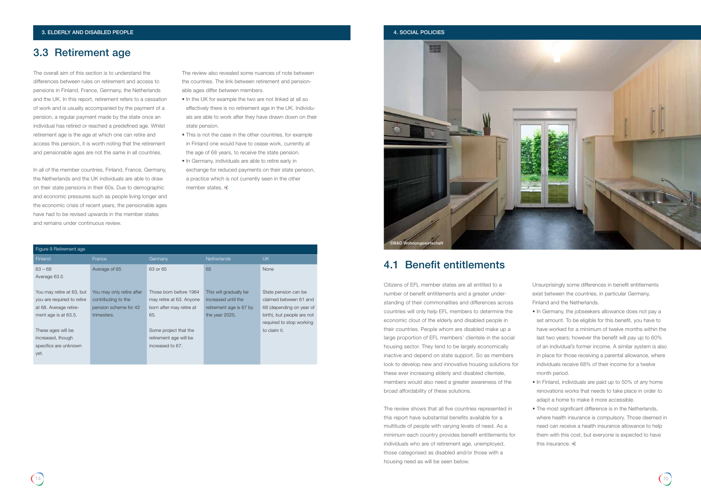### 3.3 Retirement age

### 4.1 Benefit entitlements

The overall aim of this section is to understand the differences between rules on retirement and access to pensions in Finland, France, Germany, the Netherlands and the UK. In this report, retirement refers to a cessation of work and is usually accompanied by the payment of a pension, a regular payment made by the state once an individual has retired or reached a predefined age. Whilst retirement age is the age at which one can retire and access this pension, it is worth noting that the retirement and pensionable ages are not the same in all countries.

- In the UK for example the two are not linked at all so effectively there is no retirement age in the UK. Individuals are able to work after they have drawn down on their state pension.
- This is not the case in the other countries, for example in Finland one would have to cease work, currently at the age of 68 years, to receive the state pension.
- In Germany, individuals are able to retire early in exchange for reduced payments on their state pension, a practice which is not currently seen in the other member states. ©

In all of the member countries, Finland, France, Germany, the Netherlands and the UK individuals are able to draw on their state pensions in their 60s. Due to demographic and economic pressures such as people living longer and the economic crisis of recent years, the pensionable ages have had to be revised upwards in the member states and remains under continuous review.

The review also revealed some nuances of note between the countries. The link between retirement and pensionable ages differ between members.

- In Germany, the jobseekers allowance does not pay a set amount. To be eligible for this benefit, you have to have worked for a minimum of twelve months within the last two years; however the benefit will pay up to 60% of an individual's former income. A similar system is also in place for those receiving a parental allowance, where individuals receive 68% of their income for a twelve month period.
- In Finland, individuals are paid up to 50% of any home renovations works that needs to take place in order to adapt a home to make it more accessible.
- The most significant difference is in the Netherlands, where health insurance is compulsory. Those deemed in need can receive a health insurance allowance to help them with this cost, but everyone is expected to have this insurance. ©

Citizens of EFL member states are all entitled to a number of benefit entitlements and a greater understanding of their commonalities and differences across countries will only help EFL members to determine the economic clout of the elderly and disabled people in their countries. People whom are disabled make up a large proportion of EFL members' clientele in the social housing sector. They tend to be largely economically inactive and depend on state support. So as members look to develop new and innovative housing solutions for these ever increasing elderly and disabled clientele, members would also need a greater awareness of the broad affordability of these solutions.

The review shows that all five countries represented in this report have substantial benefits available for a multitude of people with varying levels of need. As a minimum each country provides benefit entitlements for individuals who are of retirement age, unemployed, those categorised as disabled and/or those with a housing need as will be seen below.

Unsurprisingly some differences in benefit entitlements exist between the countries, in particular Germany, Finland and the Netherlands.

| Figure 9 Retirement age    |                           |                          |                         |                            |
|----------------------------|---------------------------|--------------------------|-------------------------|----------------------------|
| <b>Finland</b>             | France                    | Germany                  | <b>Netherlands</b>      | UK.                        |
| $63 - 68$                  | Average of 65             | 63 or 65                 | 65                      | None                       |
| Average 63.5               |                           |                          |                         |                            |
|                            |                           |                          |                         |                            |
| You may retire at 63, but  | You may only retire after | Those born before 1964   | This will gradually be  | State pension can be       |
| you are required to retire | contributing to the       | may retire at 63. Anyone | increased until the     | claimed between 61 and     |
| at 68. Average retire-     | pension scheme for 42     | born after may retire at | retirement age is 67 by | 68 (depending on year of   |
| ment age is at 63.5.       | trimesters.               | 65.                      | the year 2025.          | birth), but people are not |
|                            |                           |                          |                         | required to stop working   |
| These ages will be         |                           | Some project that the    |                         | to claim it.               |
| increased, though          |                           | retirement age will be   |                         |                            |
| specifics are unknown      |                           | increased to 67.         |                         |                            |
| yet.                       |                           |                          |                         |                            |
|                            |                           |                          |                         |                            |

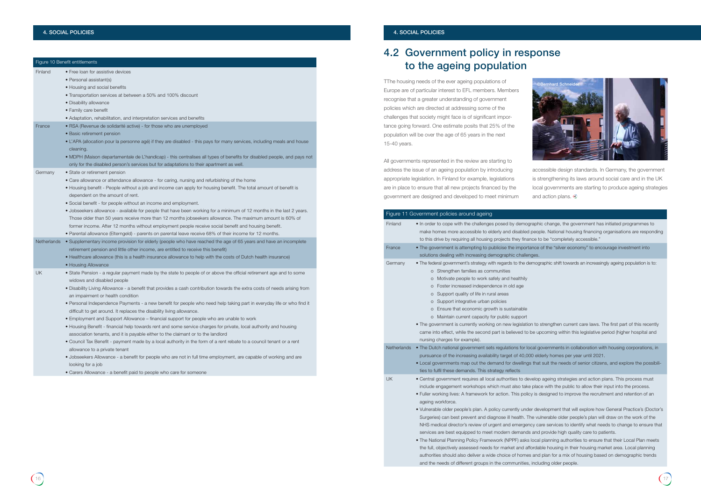|                    | Figure 10 Benefit entitlements                                                                                                                                                                                                                                                                                                                                                                                                                                                                                                                                                                                                                                                                                                                                                                                                                                                                                                                                                                                                                                                                                                                                                                      |
|--------------------|-----------------------------------------------------------------------------------------------------------------------------------------------------------------------------------------------------------------------------------------------------------------------------------------------------------------------------------------------------------------------------------------------------------------------------------------------------------------------------------------------------------------------------------------------------------------------------------------------------------------------------------------------------------------------------------------------------------------------------------------------------------------------------------------------------------------------------------------------------------------------------------------------------------------------------------------------------------------------------------------------------------------------------------------------------------------------------------------------------------------------------------------------------------------------------------------------------|
| Finland            | • Free loan for assistive devices<br>• Personal assistant(s)<br>• Housing and social benefits<br>• Transportation services at between a 50% and 100% discount<br>• Disability allowance<br>• Family care benefit<br>• Adaptation, rehabilitation, and interpretation services and benefits                                                                                                                                                                                                                                                                                                                                                                                                                                                                                                                                                                                                                                                                                                                                                                                                                                                                                                          |
| France             | • RSA (Revenue de solidarité active) - for those who are unemployed<br>• Basic retirement pension<br>• L'APA (allocation pour la personne agé) if they are disabled - this pays for many services, including meals and house<br>cleaning.<br>• MDPH (Maison departamentale de L'handicap) - this centralises all types of benefits for disabled people, and pays not<br>only for the disabled person's services but for adaptations to their apartment as well.                                                                                                                                                                                                                                                                                                                                                                                                                                                                                                                                                                                                                                                                                                                                     |
| Germany            | • State or retirement pension<br>• Care allowance or attendance allowance - for caring, nursing and refurbishing of the home<br>• Housing benefit - People without a job and income can apply for housing benefit. The total amount of benefit is<br>dependent on the amount of rent.<br>• Social benefit - for people without an income and employment.<br>. Jobseekers allowance - available for people that have been working for a minimum of 12 months in the last 2 years.<br>Those older than 50 years receive more than 12 months jobseekers allowance. The maximum amount is 60% of<br>former income. After 12 months without employment people receive social benefit and housing benefit.<br>• Parental allowance (Elterngeld) - parents on parental leave receive 68% of their income for 12 months.                                                                                                                                                                                                                                                                                                                                                                                    |
| <b>Netherlands</b> | • Supplementary income provision for elderly (people who have reached the age of 65 years and have an incomplete<br>retirement pension and little other income, are entitled to receive this benefit)<br>• Healthcare allowance (this is a health insurance allowance to help with the costs of Dutch health insurance)<br>• Housing Allowance                                                                                                                                                                                                                                                                                                                                                                                                                                                                                                                                                                                                                                                                                                                                                                                                                                                      |
| UK                 | • State Pension - a regular payment made by the state to people of or above the official retirement age and to some<br>widows and disabled people<br>. Disability Living Allowance - a benefit that provides a cash contribution towards the extra costs of needs arising from<br>an impairment or health condition<br>• Personal Independence Payments - a new benefit for people who need help taking part in everyday life or who find it<br>difficult to get around. It replaces the disability living allowance.<br>• Employment and Support Allowance – financial support for people who are unable to work<br>• Housing Benefit - financial help towards rent and some service charges for private, local authority and housing<br>association tenants, and it is payable either to the claimant or to the landlord<br>• Council Tax Benefit - payment made by a local authority in the form of a rent rebate to a council tenant or a rent<br>allowance to a private tenant<br>• Jobseekers Allowance - a benefit for people who are not in full time employment, are capable of working and are<br>looking for a job<br>• Carers Allowance - a benefit paid to people who care for someone |

accessible design standards. In Germany, the government is strengthening its laws around social care and in the UK local governments are starting to produce ageing strategies and action plans.  $\odot$ 

raphic change, the government has initiated programmes to people. National housing financing organisations are responding nce to be "completely accessible."

ance of the "silver economy" to encourage investment into

emographic shift towards an increasingly ageing population is to:

on to strengthen current care laws. The first part of this recently be upcoming within this legislative period (higher hospital and

cal governments in collaboration with housing corporations, in pursual<br>2021 elderly homes per year until 2021.

s that suit the needs of senior citizens, and explore the possibili-

velop ageing strategies and action plans. This process must place with the public to allow their input into the process. by is designed to improve the recruitment and retention of an

er development that will explore how General Practice's (Doctor's he vulnerable older people's plan will draw on the work of the icy care services to identify what needs to change to ensure that s and provide high quality care to patients.

## 4.2 Government policy in response to the ageing population

TThe housing needs of the ever ageing populations of Europe are of particular interest to EFL members. Members recognise that a greater understanding of government policies which are directed at addressing some of the challenges that society might face is of significant importance going forward. One estimate posits that 25% of the population will be over the age of 65 years in the next 15-40 years.

> local planning authorities to ensure that their Local Plan meets fordable housing in their housing market area. Local planning and plan for a mix of housing based on demographic trends and the needs of different groups in the communities, including older people.

All governments represented in the review are starting to address the issue of an ageing population by introducing appropriate legislation. In Finland for example, legislations are in place to ensure that all new projects financed by the government are designed and developed to meet minimum

|                    | Figure 11 Government policies around ageing                                                                                                                                                                                                                                                                                                                                                                                                                                                                                                                                                                                                                          |
|--------------------|----------------------------------------------------------------------------------------------------------------------------------------------------------------------------------------------------------------------------------------------------------------------------------------------------------------------------------------------------------------------------------------------------------------------------------------------------------------------------------------------------------------------------------------------------------------------------------------------------------------------------------------------------------------------|
| Finland            | . In order to cope with the challenges posed by demographi<br>make homes more accessible to elderly and disabled peop<br>to this drive by requiring all housing projects they finance to                                                                                                                                                                                                                                                                                                                                                                                                                                                                             |
| France             | • The government is attempting to publicise the importance<br>solutions dealing with increasing demographic challenges.                                                                                                                                                                                                                                                                                                                                                                                                                                                                                                                                              |
| Germany            | • The federal government's strategy with regards to the demog<br>Strengthen families as communities<br>O<br>Motivate people to work safely and healthily<br>$\Omega$<br>Foster increased independence in old age<br>O<br>Support quality of life in rural areas<br>O<br>Support integrative urban policies<br>O<br>Ensure that economic growth is sustainable<br>$\circ$<br>Maintain current capacity for public support<br>$\circ$<br>. The government is currently working on new legislation to<br>came into effect, while the second part is believed to be up<br>nursing charges for example).                                                                  |
| <b>Netherlands</b> | • The Dutch national government sets regulations for local government<br>pursuance of the increasing availability target of 40,000 elc<br>• Local governments map out the demand for dwellings that<br>ties to fulfil these demands. This strategy reflects                                                                                                                                                                                                                                                                                                                                                                                                          |
| UK                 | • Central government requires all local authorities to develop<br>include engagement workshops which must also take plac<br>• Fuller working lives: A framework for action. This policy is a<br>ageing workforce.<br>• Vulnerable older people's plan. A policy currently under dev<br>Surgeries) can best prevent and diagnose ill health. The vu<br>NHS medical director's review of urgent and emergency ca<br>services are best equipped to meet modern demands and<br>• The National Planning Policy Framework (NPPF) asks local<br>the full, objectively assessed needs for market and affordal<br>quitborities should also deliver a wide shoise of bemes and |

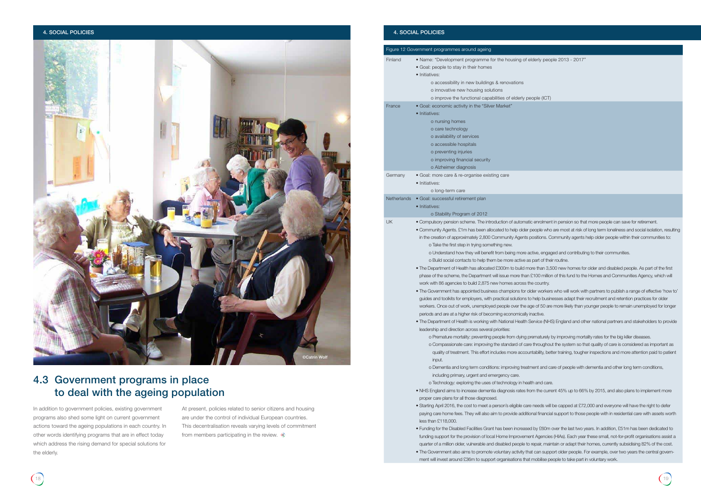### 4. SOCIAL POLICIES 4. SOCIAL POLICIES

• The Government has appointed business champions for older workers who will work with partners to publish a range of effective 'how to' to help businesses adapt their recruitment and retention practices for older

age of 50 are more likely than younger people to remain unemployed for longer inactive.

Service (NHS) England and other national partners and stakeholders to provide

orematurely by improving mortality rates for the big killer diseases. re throughout the system so that quality of care is considered as important as antability, better training, tougher inspections and more attention paid to patient

ment and care of people with dementia and other long term conditions,

alth and care.

 $\epsilon$  om the current 45% up to 66% by 2015, and also plans to implement more

re needs will be capped at £72,000 and everyone will have the right to defer onal financial support to those people with in residential care with assets worth

|                    | Figure 12 Government programmes around ageing                                                                                                                                                                                                                                                                                                                                                                                                                                                                                                                                                                                                                                                                                                                                                                                                                                                                                                                                                                                                                                                                                                                                                                                                                                                                                                                                                                                                                                                                                                                                                                                                                                                                                                                                                                         |
|--------------------|-----------------------------------------------------------------------------------------------------------------------------------------------------------------------------------------------------------------------------------------------------------------------------------------------------------------------------------------------------------------------------------------------------------------------------------------------------------------------------------------------------------------------------------------------------------------------------------------------------------------------------------------------------------------------------------------------------------------------------------------------------------------------------------------------------------------------------------------------------------------------------------------------------------------------------------------------------------------------------------------------------------------------------------------------------------------------------------------------------------------------------------------------------------------------------------------------------------------------------------------------------------------------------------------------------------------------------------------------------------------------------------------------------------------------------------------------------------------------------------------------------------------------------------------------------------------------------------------------------------------------------------------------------------------------------------------------------------------------------------------------------------------------------------------------------------------------|
| Finland            | • Name: "Development programme for the housing of a<br>• Goal: people to stay in their homes<br>• Initiatives:<br>o accessibility in new buildings & renovations<br>o innovative new housing solutions<br>o improve the functional capabilities of elderly pe                                                                                                                                                                                                                                                                                                                                                                                                                                                                                                                                                                                                                                                                                                                                                                                                                                                                                                                                                                                                                                                                                                                                                                                                                                                                                                                                                                                                                                                                                                                                                         |
| France             | · Goal: economic activity in the "Silver Market"<br>• Initiatives:<br>o nursing homes<br>o care technology<br>o availability of services<br>o accessible hospitals<br>o preventing injuries<br>o improving financial security<br>o Alzheimer diagnosis                                                                                                                                                                                                                                                                                                                                                                                                                                                                                                                                                                                                                                                                                                                                                                                                                                                                                                                                                                                                                                                                                                                                                                                                                                                                                                                                                                                                                                                                                                                                                                |
| Germany            | • Goal: more care & re-organise existing care<br>· Initiatives:<br>o long-term care                                                                                                                                                                                                                                                                                                                                                                                                                                                                                                                                                                                                                                                                                                                                                                                                                                                                                                                                                                                                                                                                                                                                                                                                                                                                                                                                                                                                                                                                                                                                                                                                                                                                                                                                   |
| <b>Netherlands</b> | · Goal: successful retirement plan<br>· Initiatives:<br>o Stability Program of 2012                                                                                                                                                                                                                                                                                                                                                                                                                                                                                                                                                                                                                                                                                                                                                                                                                                                                                                                                                                                                                                                                                                                                                                                                                                                                                                                                                                                                                                                                                                                                                                                                                                                                                                                                   |
| UK                 | • Compulsory pension scheme. The introduction of automat<br>• Community Agents. £1m has been allocated to help older<br>in the creation of approximately 2,800 Community Agents<br>o Take the first step in trying something new.<br>o Understand how they will benefit from being more a<br>o Build social contacts to help them be more active as<br>. The Department of Health has allocated £300m to build m<br>phase of the scheme, the Department will issue more than<br>work with 86 agencies to build 2,875 new homes across tl<br>• The Government has appointed business champions for o<br>guides and toolkits for employers, with practical solutions t<br>workers. Once out of work, unemployed people over the a<br>periods and are at a higher risk of becoming economically<br>. The Department of Health is working with National Health &<br>leadership and direction across several priorities:<br>o Premature mortality: preventing people from dying p<br>o Compassionate care: improving the standard of car<br>quality of treatment. This effort includes more accou<br>input.<br>o Dementia and long term conditions: improving treat<br>including primary, urgent and emergency care.<br>o Technology: exploring the uses of technology in hea<br>• NHS England aims to increase dementia diagnosis rates fri<br>proper care plans for all those diagnosed.<br>• Starting April 2016, the cost to meet a person's eligible car<br>paying care home fees. They will also aim to provide additionally<br>less than $£118,000$ .<br>• Funding for the Disabled Facilities Grant has been increase<br>funding support for the provision of local Home Improveme<br>quarter of a million older, vulnerable and disabled people to<br>• The Government also aims to promote voluntary activity th |

### eople (ICT)

tic enrolment in pension so that more people can save for retirement. people who are most at risk of long term loneliness and social isolation, resulting positions. Community agents help older people within their communities to:

active, engaged and contributing to their communities.

is part of their routine.

ore than 3,500 new homes for older and disabled people. As part of the first **£100 million of this fund to the Homes and Communities Agency, which will** he country.

ed by £60m over the last two years. In addition, £51m has been dedicated to ent Agencies (HIAs). Each year these small, not-for-profit organisations assist a repair, maintain or adapt their homes, currently subsidising 82% of the cost. at can support older people. For example, over two years the central government will invest around £36m to support organisations that mobilise people to take part in voluntary work.

At present, policies related to senior citizens and housing are under the control of individual European countries. This decentralisation reveals varying levels of commitment from members participating in the review.  $\circledast$ 

## 4.3 Government programs in place to deal with the ageing population

In addition to government policies, existing government programs also shed some light on current government actions toward the ageing populations in each country. In other words identifying programs that are in effect today which address the rising demand for special solutions for the elderly.